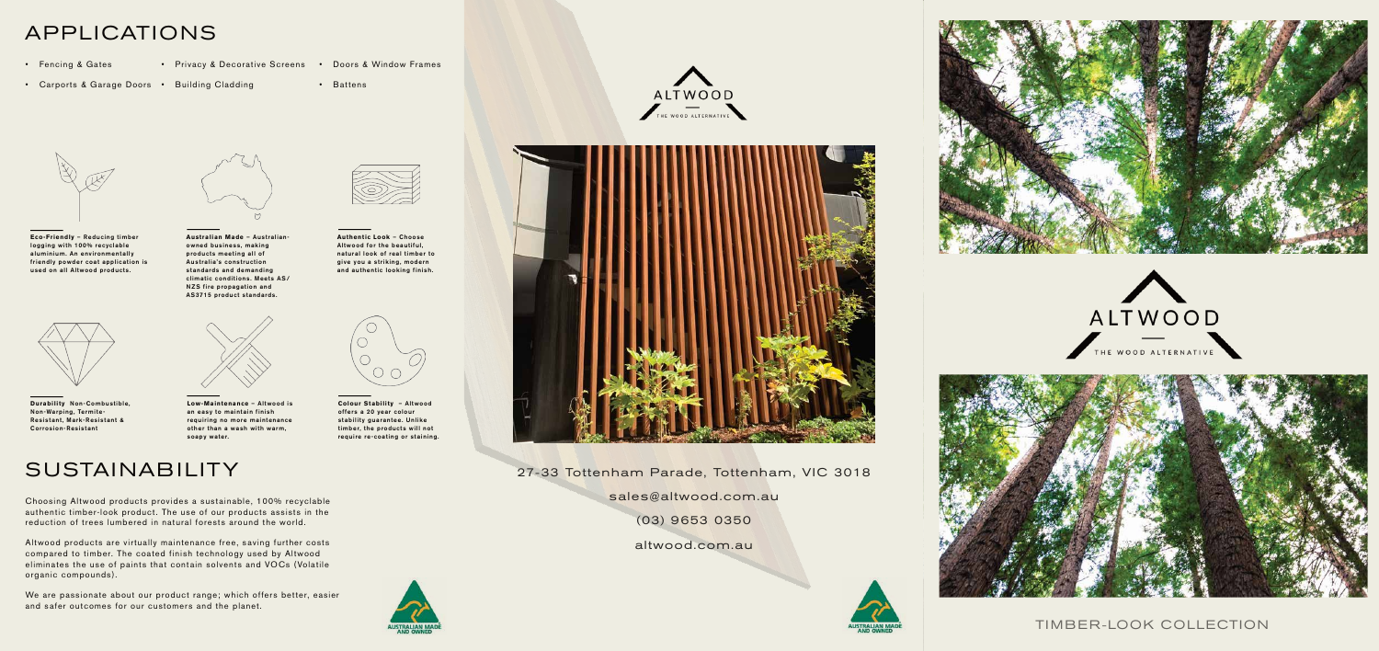## APPLICATIONS

- Fencing & Gates
- 
- Privacy & Decorative Screens Doors & Window Frames
- Carports & Garage Doors Building Cladding
- Battens





Eco-Friendly - Reducing timber logging with 100% recyclable aluminium. An environmentally friendly powder coat application is used on all Altwood products.



Australian Made - Australianowned business, making products meeting all of Australia's construction standards and demanding climatic conditions. Meets AS/ NZS fire propagation and AS3715 product standards.



**Authentic Look - Choose** Altwood for the beautiful, natural look of real timber to give you a striking, modern and authentic looking finish.



Durability Non-Combustible, Non-Warping, Termite-Resistant, Mark-Resistant & **Corrosion-Resistant** 



Low-Maintenance - Altwood is an easy to maintain finish requiring no more maintenance other than a wash with warm, soapy water.



Colour Stability - Altwood offers a 20 year colour stability guarantee. Unlike timber, the products will not require re-coating or staining.



Choosing Altwood products provides a sustainable, 100% recyclable authentic timber-look product. The use of our products assists in the reduction of trees lumbered in natural forests around the world.

Altwood products are virtually maintenance free, saving further costs compared to timber. The coated finish technology used by Altwood eliminates the use of paints that contain solvents and VOCs (Volatile organic compounds).

We are passionate about our product range; which offers better, easier and safer outcomes for our customers and the planet.





27-33 Tottenham Parade, Tottenham, VIC 3018 sales@altwood.com.au

 $(03)$  9653 0350

altwood.com.au









#### TIMBER-LOOK COLLECTION